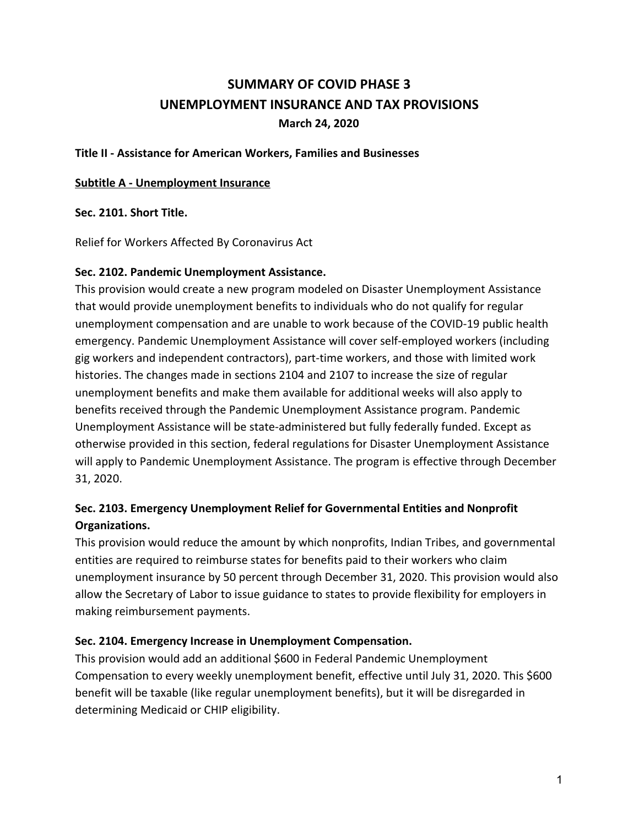# **SUMMARY OF COVID PHASE 3 UNEMPLOYMENT INSURANCE AND TAX PROVISIONS March 24, 2020**

#### **Title II - Assistance for American Workers, Families and Businesses**

#### **Subtitle A - Unemployment Insurance**

#### **Sec. 2101. Short Title.**

Relief for Workers Affected By Coronavirus Act

#### **Sec. 2102. Pandemic Unemployment Assistance.**

This provision would create a new program modeled on Disaster Unemployment Assistance that would provide unemployment benefits to individuals who do not qualify for regular unemployment compensation and are unable to work because of the COVID-19 public health emergency. Pandemic Unemployment Assistance will cover self-employed workers (including gig workers and independent contractors), part-time workers, and those with limited work histories. The changes made in sections 2104 and 2107 to increase the size of regular unemployment benefits and make them available for additional weeks will also apply to benefits received through the Pandemic Unemployment Assistance program. Pandemic Unemployment Assistance will be state-administered but fully federally funded. Except as otherwise provided in this section, federal regulations for Disaster Unemployment Assistance will apply to Pandemic Unemployment Assistance. The program is effective through December 31, 2020.

## **Sec. 2103. Emergency Unemployment Relief for Governmental Entities and Nonprofit Organizations.**

This provision would reduce the amount by which nonprofits, Indian Tribes, and governmental entities are required to reimburse states for benefits paid to their workers who claim unemployment insurance by 50 percent through December 31, 2020. This provision would also allow the Secretary of Labor to issue guidance to states to provide flexibility for employers in making reimbursement payments.

### **Sec. 2104. Emergency Increase in Unemployment Compensation.**

This provision would add an additional \$600 in Federal Pandemic Unemployment Compensation to every weekly unemployment benefit, effective until July 31, 2020. This \$600 benefit will be taxable (like regular unemployment benefits), but it will be disregarded in determining Medicaid or CHIP eligibility.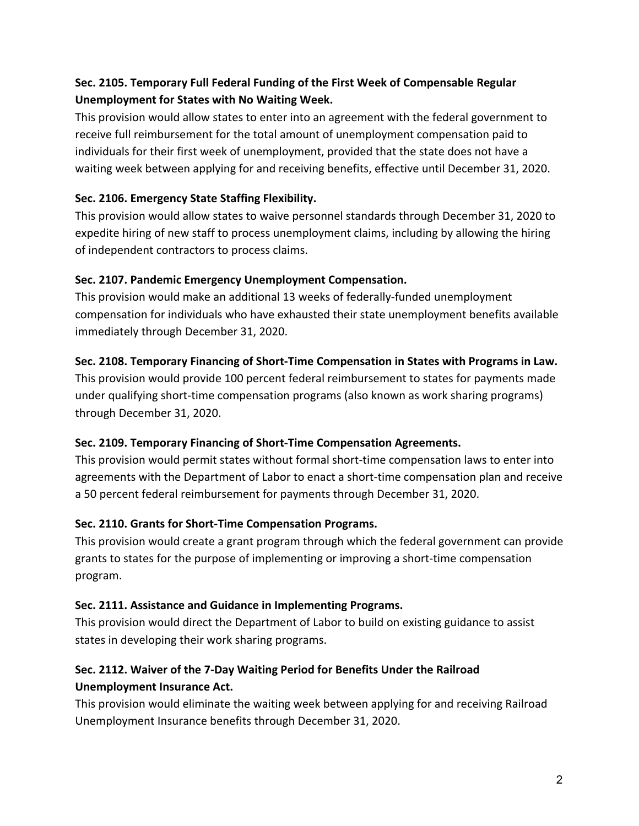## **Sec. 2105. Temporary Full Federal Funding of the First Week of Compensable Regular Unemployment for States with No Waiting Week.**

This provision would allow states to enter into an agreement with the federal government to receive full reimbursement for the total amount of unemployment compensation paid to individuals for their first week of unemployment, provided that the state does not have a waiting week between applying for and receiving benefits, effective until December 31, 2020.

### **Sec. 2106. Emergency State Staffing Flexibility.**

This provision would allow states to waive personnel standards through December 31, 2020 to expedite hiring of new staff to process unemployment claims, including by allowing the hiring of independent contractors to process claims.

### **Sec. 2107. Pandemic Emergency Unemployment Compensation.**

This provision would make an additional 13 weeks of federally-funded unemployment compensation for individuals who have exhausted their state unemployment benefits available immediately through December 31, 2020.

### **Sec. 2108. Temporary Financing of Short-Time Compensation in States with Programs in Law.**

This provision would provide 100 percent federal reimbursement to states for payments made under qualifying short-time compensation programs (also known as work sharing programs) through December 31, 2020.

### **Sec. 2109. Temporary Financing of Short-Time Compensation Agreements.**

This provision would permit states without formal short-time compensation laws to enter into agreements with the Department of Labor to enact a short-time compensation plan and receive a 50 percent federal reimbursement for payments through December 31, 2020.

## **Sec. 2110. Grants for Short-Time Compensation Programs.**

This provision would create a grant program through which the federal government can provide grants to states for the purpose of implementing or improving a short-time compensation program.

### **Sec. 2111. Assistance and Guidance in Implementing Programs.**

This provision would direct the Department of Labor to build on existing guidance to assist states in developing their work sharing programs.

## **Sec. 2112. Waiver of the 7-Day Waiting Period for Benefits Under the Railroad Unemployment Insurance Act.**

This provision would eliminate the waiting week between applying for and receiving Railroad Unemployment Insurance benefits through December 31, 2020.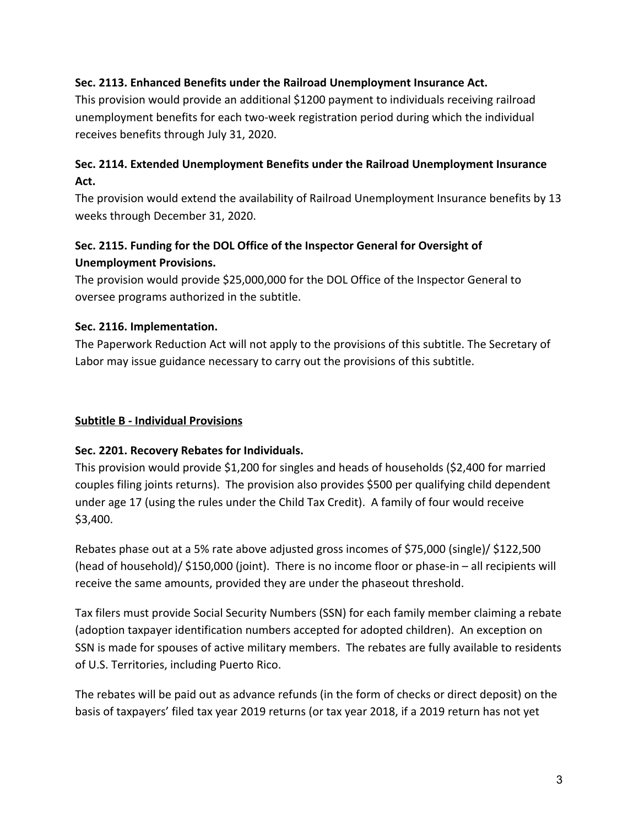### **Sec. 2113. Enhanced Benefits under the Railroad Unemployment Insurance Act.**

This provision would provide an additional \$1200 payment to individuals receiving railroad unemployment benefits for each two-week registration period during which the individual receives benefits through July 31, 2020.

## **Sec. 2114. Extended Unemployment Benefits under the Railroad Unemployment Insurance Act.**

The provision would extend the availability of Railroad Unemployment Insurance benefits by 13 weeks through December 31, 2020.

## **Sec. 2115. Funding for the DOL Office of the Inspector General for Oversight of Unemployment Provisions.**

The provision would provide \$25,000,000 for the DOL Office of the Inspector General to oversee programs authorized in the subtitle.

### **Sec. 2116. Implementation.**

The Paperwork Reduction Act will not apply to the provisions of this subtitle. The Secretary of Labor may issue guidance necessary to carry out the provisions of this subtitle.

### **Subtitle B - Individual Provisions**

### **Sec. 2201. Recovery Rebates for Individuals.**

This provision would provide \$1,200 for singles and heads of households (\$2,400 for married couples filing joints returns). The provision also provides \$500 per qualifying child dependent under age 17 (using the rules under the Child Tax Credit). A family of four would receive \$3,400.

Rebates phase out at a 5% rate above adjusted gross incomes of \$75,000 (single)/ \$122,500 (head of household)/ \$150,000 (joint). There is no income floor or phase-in – all recipients will receive the same amounts, provided they are under the phaseout threshold.

Tax filers must provide Social Security Numbers (SSN) for each family member claiming a rebate (adoption taxpayer identification numbers accepted for adopted children). An exception on SSN is made for spouses of active military members. The rebates are fully available to residents of U.S. Territories, including Puerto Rico.

The rebates will be paid out as advance refunds (in the form of checks or direct deposit) on the basis of taxpayers' filed tax year 2019 returns (or tax year 2018, if a 2019 return has not yet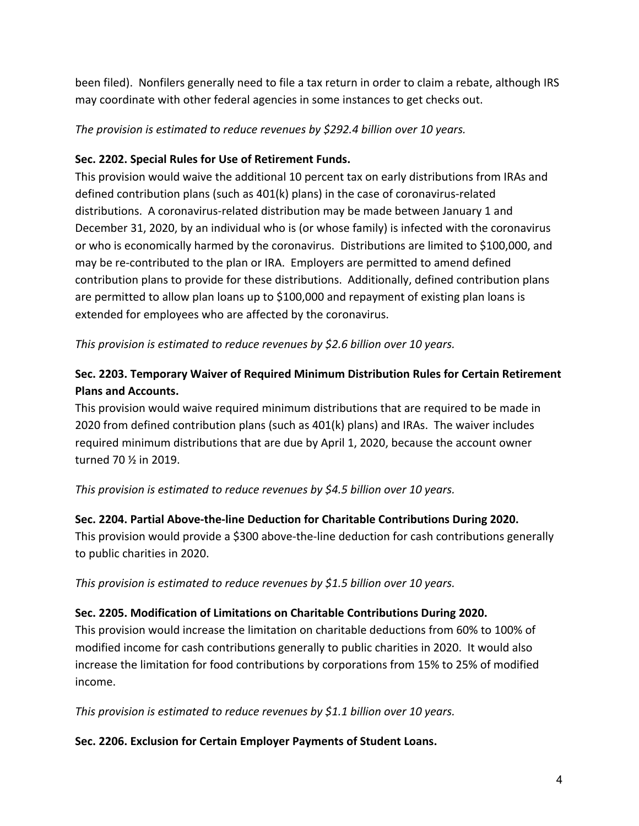been filed). Nonfilers generally need to file a tax return in order to claim a rebate, although IRS may coordinate with other federal agencies in some instances to get checks out.

*The provision is estimated to reduce revenues by \$292.4 billion over 10 years.*

## **Sec. 2202. Special Rules for Use of Retirement Funds.**

This provision would waive the additional 10 percent tax on early distributions from IRAs and defined contribution plans (such as 401(k) plans) in the case of coronavirus-related distributions. A coronavirus-related distribution may be made between January 1 and December 31, 2020, by an individual who is (or whose family) is infected with the coronavirus or who is economically harmed by the coronavirus. Distributions are limited to \$100,000, and may be re-contributed to the plan or IRA. Employers are permitted to amend defined contribution plans to provide for these distributions. Additionally, defined contribution plans are permitted to allow plan loans up to \$100,000 and repayment of existing plan loans is extended for employees who are affected by the coronavirus.

*This provision is estimated to reduce revenues by \$2.6 billion over 10 years.*

## **Sec. 2203. Temporary Waiver of Required Minimum Distribution Rules for Certain Retirement Plans and Accounts.**

This provision would waive required minimum distributions that are required to be made in 2020 from defined contribution plans (such as 401(k) plans) and IRAs. The waiver includes required minimum distributions that are due by April 1, 2020, because the account owner turned 70 ½ in 2019.

*This provision is estimated to reduce revenues by \$4.5 billion over 10 years.*

## **Sec. 2204. Partial Above-the-line Deduction for Charitable Contributions During 2020.**

This provision would provide a \$300 above-the-line deduction for cash contributions generally to public charities in 2020.

*This provision is estimated to reduce revenues by \$1.5 billion over 10 years.*

## **Sec. 2205. Modification of Limitations on Charitable Contributions During 2020.**

This provision would increase the limitation on charitable deductions from 60% to 100% of modified income for cash contributions generally to public charities in 2020. It would also increase the limitation for food contributions by corporations from 15% to 25% of modified income.

*This provision is estimated to reduce revenues by \$1.1 billion over 10 years.*

## **Sec. 2206. Exclusion for Certain Employer Payments of Student Loans.**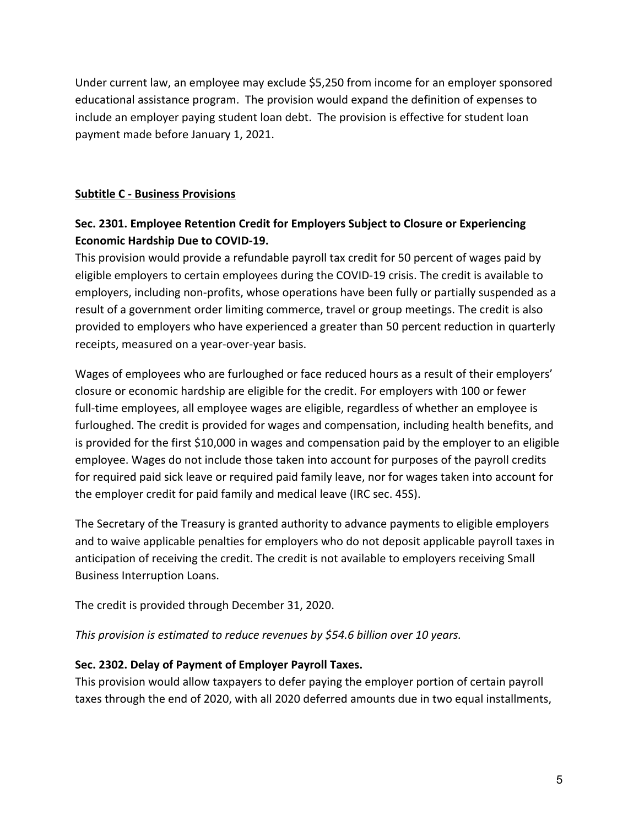Under current law, an employee may exclude \$5,250 from income for an employer sponsored educational assistance program. The provision would expand the definition of expenses to include an employer paying student loan debt. The provision is effective for student loan payment made before January 1, 2021.

### **Subtitle C - Business Provisions**

## **Sec. 2301. Employee Retention Credit for Employers Subject to Closure or Experiencing Economic Hardship Due to COVID-19.**

This provision would provide a refundable payroll tax credit for 50 percent of wages paid by eligible employers to certain employees during the COVID-19 crisis. The credit is available to employers, including non-profits, whose operations have been fully or partially suspended as a result of a government order limiting commerce, travel or group meetings. The credit is also provided to employers who have experienced a greater than 50 percent reduction in quarterly receipts, measured on a year-over-year basis.

Wages of employees who are furloughed or face reduced hours as a result of their employers' closure or economic hardship are eligible for the credit. For employers with 100 or fewer full-time employees, all employee wages are eligible, regardless of whether an employee is furloughed. The credit is provided for wages and compensation, including health benefits, and is provided for the first \$10,000 in wages and compensation paid by the employer to an eligible employee. Wages do not include those taken into account for purposes of the payroll credits for required paid sick leave or required paid family leave, nor for wages taken into account for the employer credit for paid family and medical leave (IRC sec. 45S).

The Secretary of the Treasury is granted authority to advance payments to eligible employers and to waive applicable penalties for employers who do not deposit applicable payroll taxes in anticipation of receiving the credit. The credit is not available to employers receiving Small Business Interruption Loans.

The credit is provided through December 31, 2020.

*This provision is estimated to reduce revenues by \$54.6 billion over 10 years.*

### **Sec. 2302. Delay of Payment of Employer Payroll Taxes.**

This provision would allow taxpayers to defer paying the employer portion of certain payroll taxes through the end of 2020, with all 2020 deferred amounts due in two equal installments,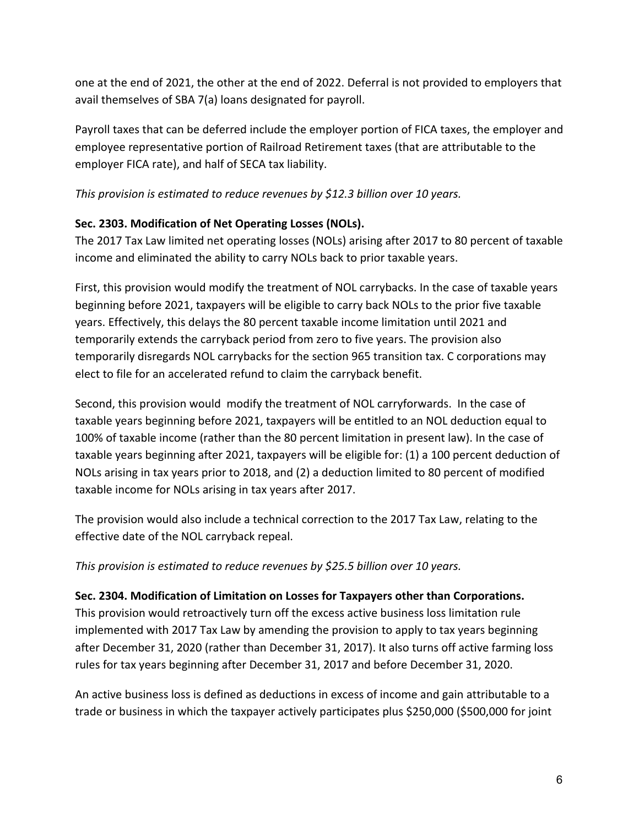one at the end of 2021, the other at the end of 2022. Deferral is not provided to employers that avail themselves of SBA 7(a) loans designated for payroll.

Payroll taxes that can be deferred include the employer portion of FICA taxes, the employer and employee representative portion of Railroad Retirement taxes (that are attributable to the employer FICA rate), and half of SECA tax liability.

*This provision is estimated to reduce revenues by \$12.3 billion over 10 years.*

## **Sec. 2303. Modification of Net Operating Losses (NOLs).**

The 2017 Tax Law limited net operating losses (NOLs) arising after 2017 to 80 percent of taxable income and eliminated the ability to carry NOLs back to prior taxable years.

First, this provision would modify the treatment of NOL carrybacks. In the case of taxable years beginning before 2021, taxpayers will be eligible to carry back NOLs to the prior five taxable years. Effectively, this delays the 80 percent taxable income limitation until 2021 and temporarily extends the carryback period from zero to five years. The provision also temporarily disregards NOL carrybacks for the section 965 transition tax. C corporations may elect to file for an accelerated refund to claim the carryback benefit.

Second, this provision would modify the treatment of NOL carryforwards. In the case of taxable years beginning before 2021, taxpayers will be entitled to an NOL deduction equal to 100% of taxable income (rather than the 80 percent limitation in present law). In the case of taxable years beginning after 2021, taxpayers will be eligible for: (1) a 100 percent deduction of NOLs arising in tax years prior to 2018, and (2) a deduction limited to 80 percent of modified taxable income for NOLs arising in tax years after 2017.

The provision would also include a technical correction to the 2017 Tax Law, relating to the effective date of the NOL carryback repeal.

*This provision is estimated to reduce revenues by \$25.5 billion over 10 years.*

## **Sec. 2304. Modification of Limitation on Losses for Taxpayers other than Corporations.**

This provision would retroactively turn off the excess active business loss limitation rule implemented with 2017 Tax Law by amending the provision to apply to tax years beginning after December 31, 2020 (rather than December 31, 2017). It also turns off active farming loss rules for tax years beginning after December 31, 2017 and before December 31, 2020.

An active business loss is defined as deductions in excess of income and gain attributable to a trade or business in which the taxpayer actively participates plus \$250,000 (\$500,000 for joint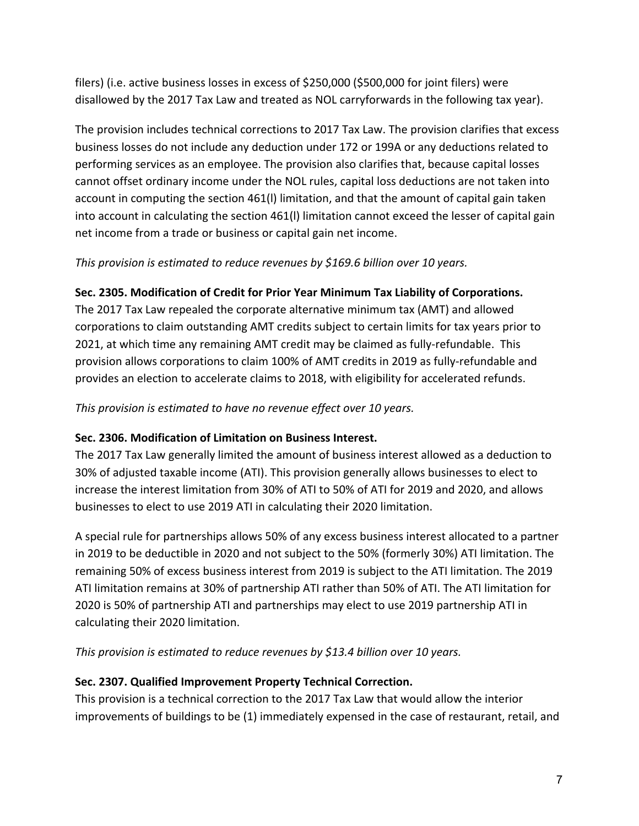filers) (i.e. active business losses in excess of \$250,000 (\$500,000 for joint filers) were disallowed by the 2017 Tax Law and treated as NOL carryforwards in the following tax year).

The provision includes technical corrections to 2017 Tax Law. The provision clarifies that excess business losses do not include any deduction under 172 or 199A or any deductions related to performing services as an employee. The provision also clarifies that, because capital losses cannot offset ordinary income under the NOL rules, capital loss deductions are not taken into account in computing the section 461(l) limitation, and that the amount of capital gain taken into account in calculating the section 461(l) limitation cannot exceed the lesser of capital gain net income from a trade or business or capital gain net income.

### *This provision is estimated to reduce revenues by \$169.6 billion over 10 years.*

### **Sec. 2305. Modification of Credit for Prior Year Minimum Tax Liability of Corporations.**

The 2017 Tax Law repealed the corporate alternative minimum tax (AMT) and allowed corporations to claim outstanding AMT credits subject to certain limits for tax years prior to 2021, at which time any remaining AMT credit may be claimed as fully-refundable. This provision allows corporations to claim 100% of AMT credits in 2019 as fully-refundable and provides an election to accelerate claims to 2018, with eligibility for accelerated refunds.

*This provision is estimated to have no revenue effect over 10 years.*

### **Sec. 2306. Modification of Limitation on Business Interest.**

The 2017 Tax Law generally limited the amount of business interest allowed as a deduction to 30% of adjusted taxable income (ATI). This provision generally allows businesses to elect to increase the interest limitation from 30% of ATI to 50% of ATI for 2019 and 2020, and allows businesses to elect to use 2019 ATI in calculating their 2020 limitation.

A special rule for partnerships allows 50% of any excess business interest allocated to a partner in 2019 to be deductible in 2020 and not subject to the 50% (formerly 30%) ATI limitation. The remaining 50% of excess business interest from 2019 is subject to the ATI limitation. The 2019 ATI limitation remains at 30% of partnership ATI rather than 50% of ATI. The ATI limitation for 2020 is 50% of partnership ATI and partnerships may elect to use 2019 partnership ATI in calculating their 2020 limitation.

*This provision is estimated to reduce revenues by \$13.4 billion over 10 years.*

## **Sec. 2307. Qualified Improvement Property Technical Correction.**

This provision is a technical correction to the 2017 Tax Law that would allow the interior improvements of buildings to be (1) immediately expensed in the case of restaurant, retail, and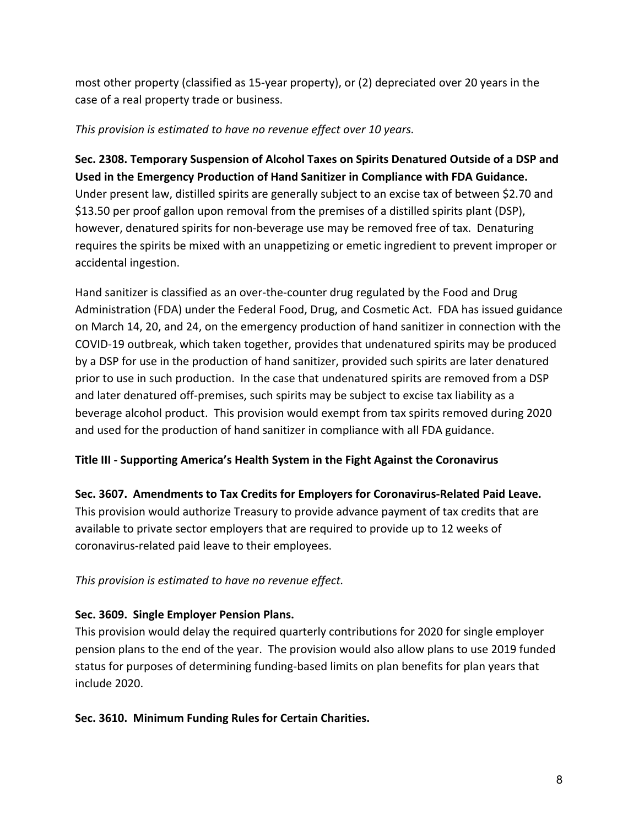most other property (classified as 15-year property), or (2) depreciated over 20 years in the case of a real property trade or business.

### *This provision is estimated to have no revenue effect over 10 years.*

**Sec. 2308. Temporary Suspension of Alcohol Taxes on Spirits Denatured Outside of a DSP and Used in the Emergency Production of Hand Sanitizer in Compliance with FDA Guidance.** Under present law, distilled spirits are generally subject to an excise tax of between \$2.70 and \$13.50 per proof gallon upon removal from the premises of a distilled spirits plant (DSP), however, denatured spirits for non-beverage use may be removed free of tax. Denaturing requires the spirits be mixed with an unappetizing or emetic ingredient to prevent improper or accidental ingestion.

Hand sanitizer is classified as an over-the-counter drug regulated by the Food and Drug Administration (FDA) under the Federal Food, Drug, and Cosmetic Act. FDA has issued guidance on March 14, 20, and 24, on the emergency production of hand sanitizer in connection with the COVID-19 outbreak, which taken together, provides that undenatured spirits may be produced by a DSP for use in the production of hand sanitizer, provided such spirits are later denatured prior to use in such production. In the case that undenatured spirits are removed from a DSP and later denatured off-premises, such spirits may be subject to excise tax liability as a beverage alcohol product. This provision would exempt from tax spirits removed during 2020 and used for the production of hand sanitizer in compliance with all FDA guidance.

## **Title III - Supporting America's Health System in the Fight Against the Coronavirus**

**Sec. 3607. Amendments to Tax Credits for Employers for Coronavirus-Related Paid Leave.**

This provision would authorize Treasury to provide advance payment of tax credits that are available to private sector employers that are required to provide up to 12 weeks of coronavirus-related paid leave to their employees.

### *This provision is estimated to have no revenue effect.*

### **Sec. 3609. Single Employer Pension Plans.**

This provision would delay the required quarterly contributions for 2020 for single employer pension plans to the end of the year. The provision would also allow plans to use 2019 funded status for purposes of determining funding-based limits on plan benefits for plan years that include 2020.

### **Sec. 3610. Minimum Funding Rules for Certain Charities.**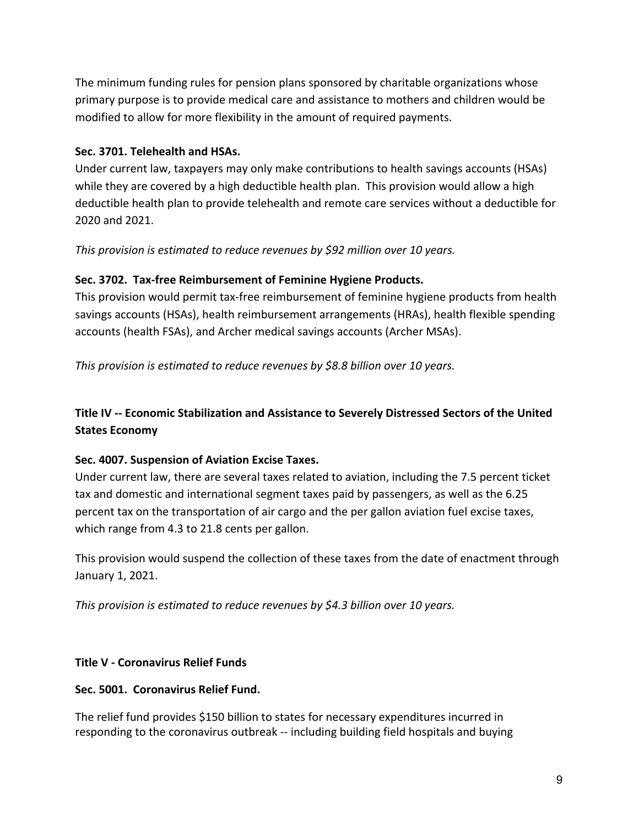The minimum funding rules for pension plans sponsored by charitable organizations whose primary purpose is to provide medical care and assistance to mothers and children would be modified to allow for more flexibility in the amount of required payments.

### **Sec. 3701. Telehealth and HSAs.**

Under current law, taxpayers may only make contributions to health savings accounts (HSAs) while they are covered by a high deductible health plan. This provision would allow a high deductible health plan to provide telehealth and remote care services without a deductible for 2020 and 2021.

*This provision is estimated to reduce revenues by \$92 million over 10 years.*

## **Sec. 3702. Tax-free Reimbursement of Feminine Hygiene Products.**

This provision would permit tax-free reimbursement of feminine hygiene products from health savings accounts (HSAs), health reimbursement arrangements (HRAs), health flexible spending accounts (health FSAs), and Archer medical savings accounts (Archer MSAs).

*This provision is estimated to reduce revenues by \$8.8 billion over 10 years.*

## **Title IV -- Economic Stabilization and Assistance to Severely Distressed Sectors of the United States Economy**

### **Sec. 4007. Suspension of Aviation Excise Taxes.**

Under current law, there are several taxes related to aviation, including the 7.5 percent ticket tax and domestic and international segment taxes paid by passengers, as well as the 6.25 percent tax on the transportation of air cargo and the per gallon aviation fuel excise taxes, which range from 4.3 to 21.8 cents per gallon.

This provision would suspend the collection of these taxes from the date of enactment through January 1, 2021.

*This provision is estimated to reduce revenues by \$4.3 billion over 10 years.*

### **Title V - Coronavirus Relief Funds**

### **Sec. 5001. Coronavirus Relief Fund.**

The relief fund provides \$150 billion to states for necessary expenditures incurred in responding to the coronavirus outbreak -- including building field hospitals and buying